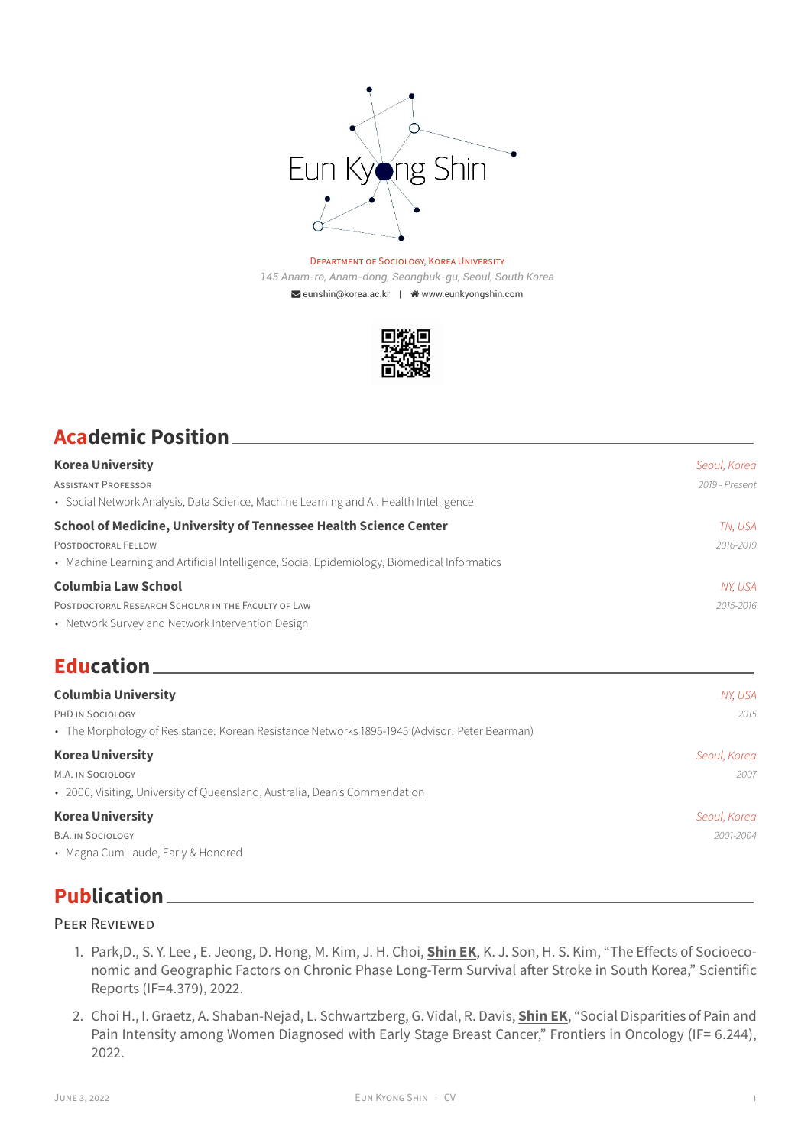

#### DEPARTMENT OF SOCIOLOGY, KOREA UNIVERSITY *145 Anam-ro, Anam-dong, Seongbuk-gu, Seoul, South Korea*  $\triangleright$ [eunshin@korea.ac.kr](mailto:eunshin@korea.ac.kr) |  $\triangle$  [www.eunkyongshin.com](http://www.eunkyongshin.com)



| <b>Academic Position</b> |  |
|--------------------------|--|
|                          |  |

| <b>Korea University</b>                                                                       | Seoul, Korea   |
|-----------------------------------------------------------------------------------------------|----------------|
| <b>ASSISTANT PROFESSOR</b>                                                                    | 2019 - Present |
| • Social Network Analysis, Data Science, Machine Learning and AI, Health Intelligence         |                |
| <b>School of Medicine, University of Tennessee Health Science Center</b>                      | TN, USA        |
| POSTDOCTORAL FELLOW                                                                           | 2016-2019      |
| • Machine Learning and Artificial Intelligence, Social Epidemiology, Biomedical Informatics   |                |
| <b>Columbia Law School</b>                                                                    | NY, USA        |
| POSTDOCTORAL RESEARCH SCHOLAR IN THE FACULTY OF LAW                                           | 2015-2016      |
| • Network Survey and Network Intervention Design                                              |                |
| <b>Education</b>                                                                              |                |
| <b>Columbia University</b>                                                                    | NY, USA        |
| PHD IN SOCIOLOGY                                                                              | 2015           |
| • The Morphology of Resistance: Korean Resistance Networks 1895-1945 (Advisor: Peter Bearman) |                |
| <b>Korea University</b>                                                                       | Seoul, Korea   |
| M.A. IN SOCIOLOGY                                                                             | 2007           |
| • 2006, Visiting, University of Queensland, Australia, Dean's Commendation                    |                |

#### **Korea University** *Seoul, Korea*

B.A. IN SOCIOLOGY *2001-2004*

• Magna Cum Laude, Early & Honored

### **Publication**

#### PEER REVIEWED

- 1. Park,D., S. Y. Lee , E. Jeong, D. Hong, M. Kim, J. H. Choi, **Shin EK**, K. J. Son, H. S. Kim, "The Effects of Socioeconomic and Geographic Factors on Chronic Phase Long-Term Survival after Stroke in South Korea," Scientific Reports (IF=4.379), 2022.
- 2. Choi H., I. Graetz, A. Shaban-Nejad, L. Schwartzberg, G. Vidal, R. Davis, **Shin EK**, ["Social Disparities of Pain and](https://www.frontiersin.org/articles/10.3389/fonc.2022.759272/full) [Pain Intensity among Women Diagnosed with Early Stage Breast Cancer," Frontiers in Oncology \(IF= 6.244\),](https://www.frontiersin.org/articles/10.3389/fonc.2022.759272/full) [2022.](https://www.frontiersin.org/articles/10.3389/fonc.2022.759272/full)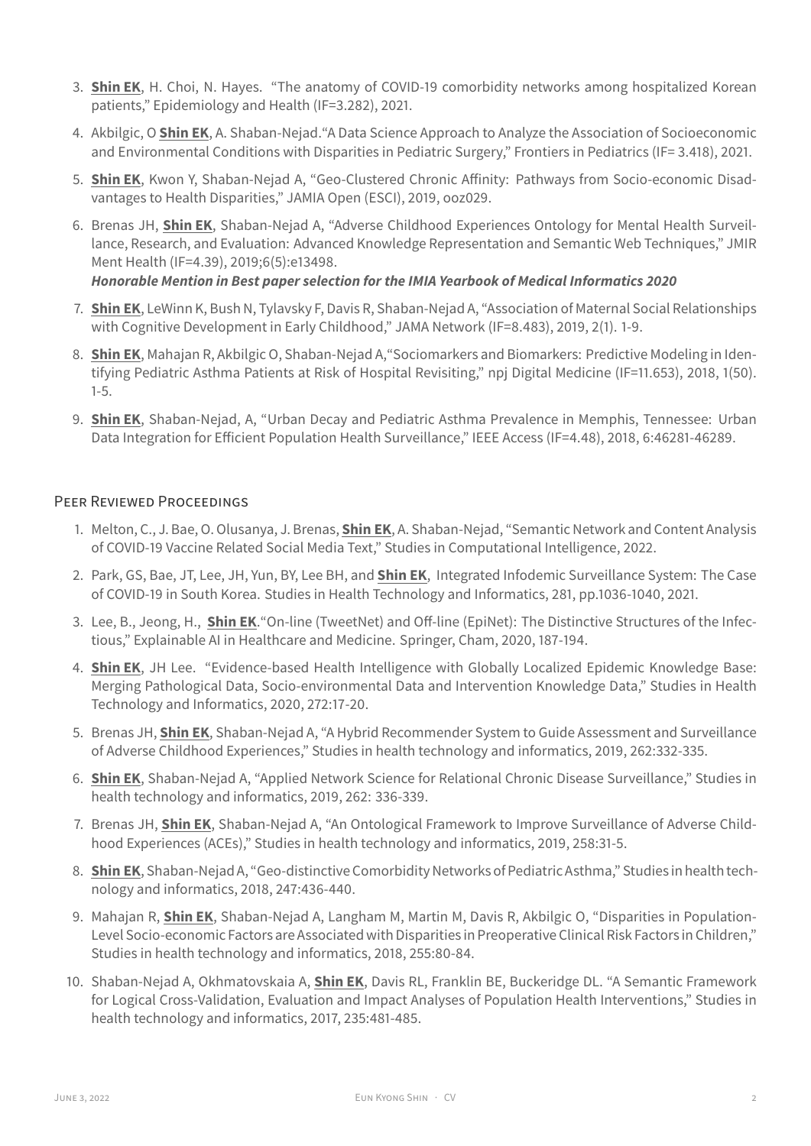- 3. **Shin EK**, H. Choi, N. Hayes. ["The anatomy of COVID-19 comorbidity networks among hospitalized Korean](https://m.yujm.yu.ac.kr/upload/pdf/epih-43-e2021035.pdf) [patients," Epidemiology and Health \(IF=3.282\), 2021.](https://m.yujm.yu.ac.kr/upload/pdf/epih-43-e2021035.pdf)
- 4. Akbilgic, O **Shin EK**, A. Shaban-Nejad[."A Data Science Approach to Analyze the Association of Socioeconomic](https://www.frontiersin.org/articles/10.3389/fped.2021.620848/full) [and Environmental Conditions with Disparities in Pediatric Surgery," Frontiers in Pediatrics \(IF= 3.418\), 2021.](https://www.frontiersin.org/articles/10.3389/fped.2021.620848/full)
- 5. **Shin EK**, Kwon Y, Shaban-Nejad A, ["Geo-Clustered Chronic Affinity: Pathways from Socio-economic Disad](https://academic.oup.com/jamiaopen/advance-article/doi/10.1093/jamiaopen/ooz029/5542687)[vantages to Health Disparities,"](https://academic.oup.com/jamiaopen/advance-article/doi/10.1093/jamiaopen/ooz029/5542687) JAMIA Open (ESCI), 2019, ooz029.
- 6. Brenas JH, **Shin EK**, Shaban-Nejad A, ["Adverse Childhood Experiences Ontology for Mental Health Surveil](https://mental.jmir.org/2019/5/e13498/)[lance, Research, and Evaluation: Advanced Knowledge Representation and Semantic Web Techniques,"](https://mental.jmir.org/2019/5/e13498/) JMIR Ment Health (IF=4.39), 2019;6(5):e13498.

#### *Honorable Mention in Best paper selection for the IMIA Yearbook of Medical Informatics 2020*

- 7. **Shin EK**, LeWinn K, Bush N, Tylavsky F, Davis R, Shaban-Nejad A, ["Association of Maternal Social Relationships](https://jamanetwork.com/journals/jamanetworkopen/fullarticle/2720588) [with Cognitive Development in Early Childhood,"](https://jamanetwork.com/journals/jamanetworkopen/fullarticle/2720588) JAMA Network (IF=8.483), 2019, 2(1). 1-9.
- 8. **Shin EK**, Mahajan R, Akbilgic O, Shaban-Nejad A[,"Sociomarkers and Biomarkers: Predictive Modeling in Iden](https://www.nature.com/articles/s41746-018-0056-y)[tifying Pediatric Asthma Patients at Risk of Hospital Revisiting,"](https://www.nature.com/articles/s41746-018-0056-y) [npj Digital Medicine](https://www.nature.com/npjdigitalmed/) (IF=11.653), 2018, 1(50). 1-5.
- 9. **Shin EK**, Shaban-Nejad, A, ["Urban Decay and Pediatric Asthma Prevalence in Memphis, Tennessee: Urban](https://ieeexplore.ieee.org/document/8439928/#full-text-section) [Data Integration for Efficient Population Health Surveillance,"](https://ieeexplore.ieee.org/document/8439928/#full-text-section) IEEE Access (IF=4.48), 2018, 6:46281-46289.

#### PEER REVIEWED PROCEEDINGS

- 1. Melton, C., J. Bae, O. Olusanya, J. Brenas, **Shin EK**, A. Shaban-Nejad, "Semantic Network and Content Analysis of COVID-19 Vaccine Related Social Media Text," Studies in Computational Intelligence, 2022.
- 2. Park, GS, Bae, JT, Lee, JH, Yun, BY, Lee BH, and **Shin EK**, [Integrated Infodemic Surveillance System: The Case](https://pubmed.ncbi.nlm.nih.gov/34042836/) [of COVID-19 in South Korea. Studies in Health Technology and Informatics, 281, pp.1036-1040, 2021.](https://pubmed.ncbi.nlm.nih.gov/34042836/)
- 3. Lee, B., Jeong, H., **Shin EK**[."On-line \(TweetNet\) and Off-line \(EpiNet\): The Distinctive Structures of the Infec](https://link.springer.com/chapter/10.1007/978-3-030-53352-6_17)[tious," Explainable AI in Healthcare and Medicine. Springer, Cham, 2020, 187-194.](https://link.springer.com/chapter/10.1007/978-3-030-53352-6_17)
- 4. **Shin EK**, JH Lee. ["Evidence-based Health Intelligence with Globally Localized Epidemic Knowledge Base:](http://ebooks.iospress.nl/publication/54582) [Merging Pathological Data, Socio-environmental Data and Intervention Knowledge Data," Studies in Health](http://ebooks.iospress.nl/publication/54582) [Technology and Informatics, 2020, 272:17-20.](http://ebooks.iospress.nl/publication/54582)
- 5. Brenas JH, **Shin EK**, Shaban-Nejad A, ["A Hybrid Recommender System to Guide Assessment and Surveillance](https://www.ncbi.nlm.nih.gov/pubmed/31349335) [of Adverse Childhood Experiences,"](https://www.ncbi.nlm.nih.gov/pubmed/31349335) Studies in health technology and informatics, 2019, 262:332-335.
- 6. **Shin EK**, Shaban-Nejad A, ["Applied Network Science for Relational Chronic Disease Surveillance,"](https://www.ncbi.nlm.nih.gov/pubmed/31349336) Studies in health technology and informatics, 2019, 262: 336-339.
- 7. Brenas JH, **Shin EK**, Shaban-Nejad A, ["An Ontological Framework to Improve Surveillance of Adverse Child](https://www.ncbi.nlm.nih.gov/pubmed/30942708)[hood Experiences \(ACEs\),"](https://www.ncbi.nlm.nih.gov/pubmed/30942708) Studies in health technology and informatics, 2019, 258:31-5.
- 8. **Shin EK**, Shaban-Nejad A, ["Geo-distinctive Comorbidity Networks of Pediatric Asthma,"](https://www.ncbi.nlm.nih.gov/pubmed/29677998) Studies in health technology and informatics, 2018, 247:436-440.
- 9. Mahajan R, **Shin EK**, Shaban-Nejad A, Langham M, Martin M, Davis R, Akbilgic O, ["Disparities in Population-](https://www.ncbi.nlm.nih.gov/pubmed/30306911)[Level Socio-economic Factors are Associated with Disparities in Preoperative Clinical Risk Factors in Children,"](https://www.ncbi.nlm.nih.gov/pubmed/30306911) Studies in health technology and informatics, 2018, 255:80-84.
- 10. Shaban-Nejad A, Okhmatovskaia A, **Shin EK**, Davis RL, Franklin BE, Buckeridge DL. ["A Semantic Framework](https://www.ncbi.nlm.nih.gov/pubmed/29295416) [for Logical Cross-Validation, Evaluation and Impact Analyses of Population Health Interventions,"](https://www.ncbi.nlm.nih.gov/pubmed/29295416) Studies in health technology and informatics, 2017, 235:481-485.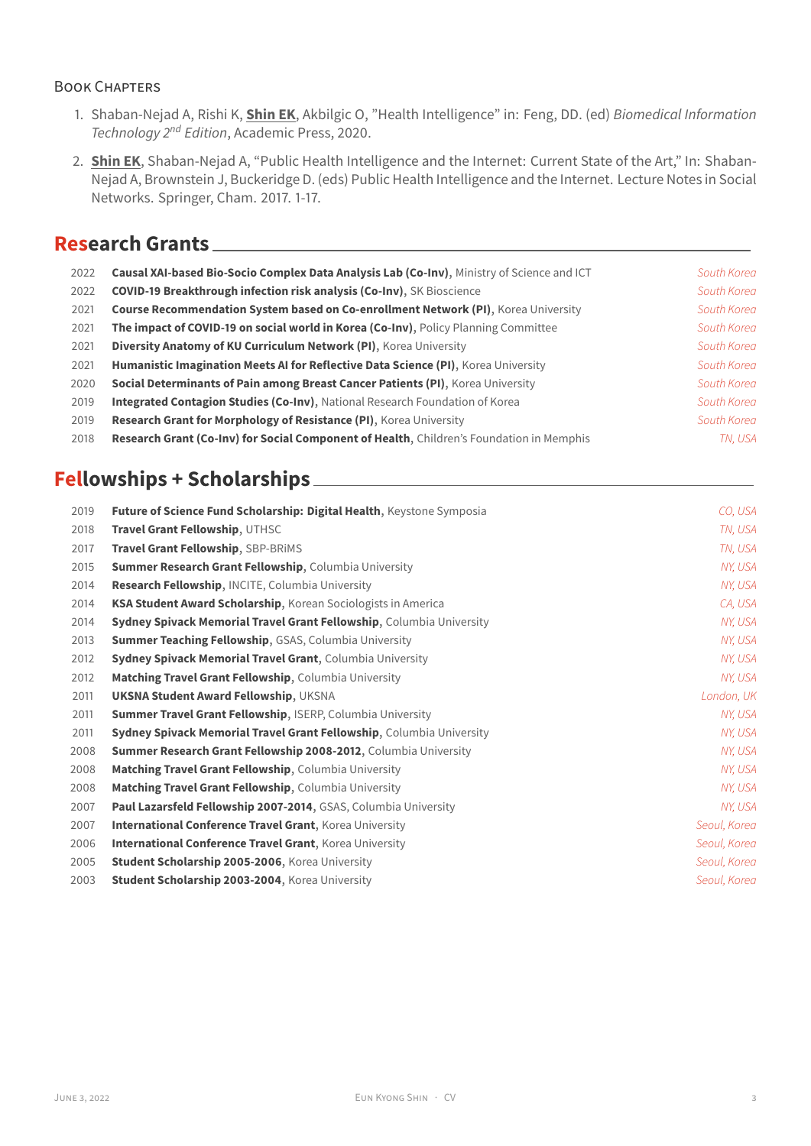#### BOOK CHAPTERS

- 1. Shaban-Nejad A, Rishi K, **Shin EK**, Akbilgic O, ["Health Intelligence"](https://www.sciencedirect.com/science/article/pii/B9780128160343000067) in: Feng, DD. (ed) *Biomedical Information Technology 2nd Edition*, Academic Press, 2020.
- 2. **Shin EK**, Shaban-Nejad A, ["Public Health Intelligence and the Internet: Current State of the Art,"](https://link.springer.com/chapter/10.1007/978-3-319-68604-2_1) In: Shaban-Nejad A, Brownstein J, Buckeridge D. (eds) Public Health Intelligence and the Internet. Lecture Notes in Social Networks. Springer, Cham. 2017. 1-17.

### **Research Grants**

| 2022 | Causal XAI-based Bio-Socio Complex Data Analysis Lab (Co-Inv), Ministry of Science and ICT | South Korea |
|------|--------------------------------------------------------------------------------------------|-------------|
| 2022 | <b>COVID-19 Breakthrough infection risk analysis (Co-Inv), SK Bioscience</b>               | South Korea |
| 2021 | <b>Course Recommendation System based on Co-enrollment Network (PI), Korea University</b>  | South Korea |
| 2021 | The impact of COVID-19 on social world in Korea (Co-Inv), Policy Planning Committee        | South Korea |
| 2021 | Diversity Anatomy of KU Curriculum Network (PI), Korea University                          | South Korea |
| 2021 | Humanistic Imagination Meets AI for Reflective Data Science (PI), Korea University         | South Korea |
| 2020 | Social Determinants of Pain among Breast Cancer Patients (PI), Korea University            | South Korea |
| 2019 | Integrated Contagion Studies (Co-Inv), National Research Foundation of Korea               | South Korea |
| 2019 | <b>Research Grant for Morphology of Resistance (PI), Korea University</b>                  | South Korea |
| 2018 | Research Grant (Co-Inv) for Social Component of Health, Children's Foundation in Memphis   | TN. USA     |

## **Fellowships + Scholarships**

| 2019 | Future of Science Fund Scholarship: Digital Health, Keystone Symposia  | CO, USA      |
|------|------------------------------------------------------------------------|--------------|
| 2018 | Travel Grant Fellowship, UTHSC                                         | TN, USA      |
| 2017 | <b>Travel Grant Fellowship, SBP-BRIMS</b>                              | TN, USA      |
| 2015 | <b>Summer Research Grant Fellowship, Columbia University</b>           | NY, USA      |
| 2014 | Research Fellowship, INCITE, Columbia University                       | NY, USA      |
| 2014 | <b>KSA Student Award Scholarship, Korean Sociologists in America</b>   | CA, USA      |
| 2014 | Sydney Spivack Memorial Travel Grant Fellowship, Columbia University   | NY, USA      |
| 2013 | <b>Summer Teaching Fellowship, GSAS, Columbia University</b>           | NY, USA      |
| 2012 | <b>Sydney Spivack Memorial Travel Grant, Columbia University</b>       | NY, USA      |
| 2012 | <b>Matching Travel Grant Fellowship, Columbia University</b>           | NY, USA      |
| 2011 | <b>UKSNA Student Award Fellowship, UKSNA</b>                           | London, UK   |
| 2011 | Summer Travel Grant Fellowship, ISERP, Columbia University             | NY, USA      |
| 2011 | Sydney Spivack Memorial Travel Grant Fellowship, Columbia University   | NY, USA      |
| 2008 | <b>Summer Research Grant Fellowship 2008-2012, Columbia University</b> | NY, USA      |
| 2008 | Matching Travel Grant Fellowship, Columbia University                  | NY, USA      |
| 2008 | Matching Travel Grant Fellowship, Columbia University                  | NY, USA      |
| 2007 | <b>Paul Lazarsfeld Fellowship 2007-2014, GSAS, Columbia University</b> | NY, USA      |
| 2007 | <b>International Conference Travel Grant, Korea University</b>         | Seoul, Korea |
| 2006 | <b>International Conference Travel Grant, Korea University</b>         | Seoul, Korea |
| 2005 | Student Scholarship 2005-2006, Korea University                        | Seoul, Korea |
| 2003 | Student Scholarship 2003-2004, Korea University                        | Seoul, Korea |